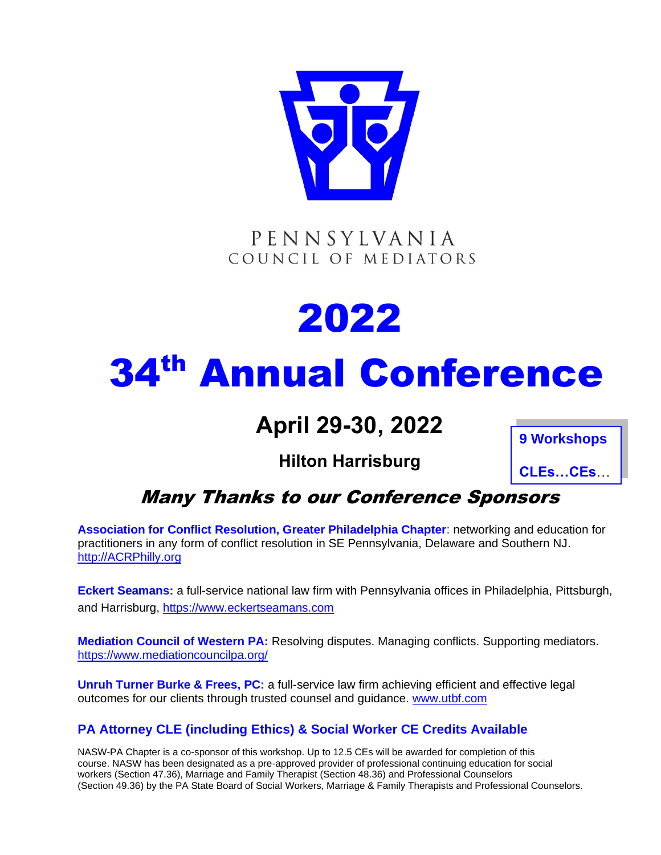

### PENNSYLVANIA COUNCIL OF MEDIATORS

# 2022

# 34<sup>th</sup> Annual Conference

**April 29-30, 2022**

**9 Workshops**

**CLEs…CEs**…

**Hilton Harrisburg**

# Many Thanks to our Conference Sponsors

**Association for Conflict Resolution, Greater Philadelphia Chapter**: networking and education for practitioners in any form of conflict resolution in SE Pennsylvania, Delaware and Southern NJ. [http://ACRPhilly.org](http://acrphilly.org/)

**Eckert Seamans:** a full-service national law firm with Pennsylvania offices in Philadelphia, Pittsburgh, and Harrisburg, [https://www.eckertseamans.com](https://www.eckertseamans.com/)

**Mediation Council of Western PA:** Resolving disputes. Managing conflicts. Supporting mediators. <https://www.mediationcouncilpa.org/>

**Unruh Turner Burke & Frees, PC:** a full-service law firm achieving efficient and effective legal outcomes for our clients through trusted counsel and guidance. [www.utbf.com](http://www.utbf.com/)

#### **PA Attorney CLE (including Ethics) & Social Worker CE Credits Available**

NASW-PA Chapter is a co-sponsor of this workshop. Up to 12.5 CEs will be awarded for completion of this course. NASW has been designated as a pre-approved provider of professional continuing education for social workers (Section 47.36), Marriage and Family Therapist (Section 48.36) and Professional Counselors (Section 49.36) by the PA State Board of Social Workers, Marriage & Family Therapists and Professional Counselors.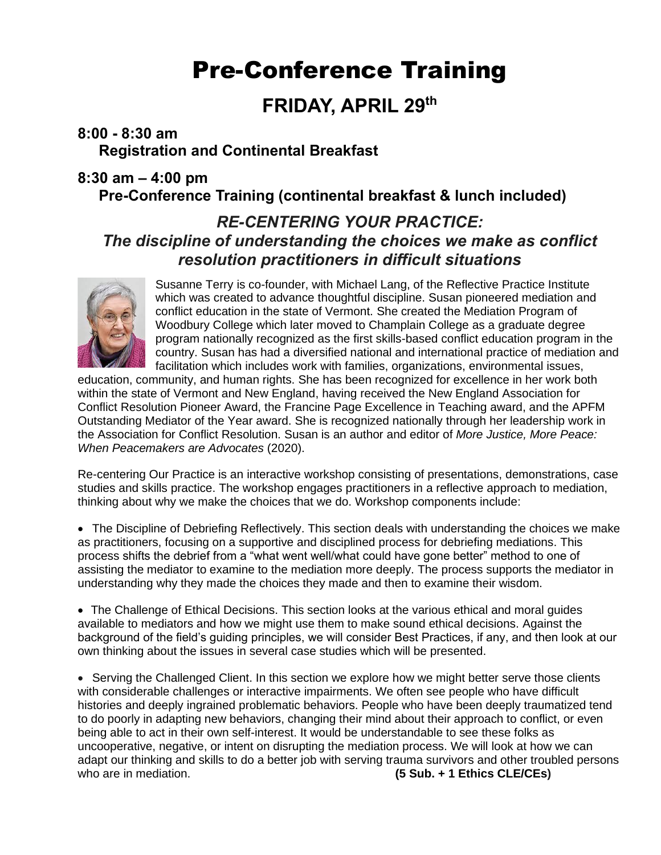# Pre-Conference Training

## **FRIDAY, APRIL 29 th**

#### **8:00 - 8:30 am Registration and Continental Breakfast**

#### **8:30 am – 4:00 pm Pre-Conference Training (continental breakfast & lunch included)**

### *RE-CENTERING YOUR PRACTICE: The discipline of understanding the choices we make as conflict resolution practitioners in difficult situations*



Susanne Terry is co-founder, with Michael Lang, of the Reflective Practice Institute which was created to advance thoughtful discipline. Susan pioneered mediation and conflict education in the state of Vermont. She created the Mediation Program of Woodbury College which later moved to Champlain College as a graduate degree program nationally recognized as the first skills-based conflict education program in the country. Susan has had a diversified national and international practice of mediation and facilitation which includes work with families, organizations, environmental issues,

education, community, and human rights. She has been recognized for excellence in her work both within the state of Vermont and New England, having received the New England Association for Conflict Resolution Pioneer Award, the Francine Page Excellence in Teaching award, and the APFM Outstanding Mediator of the Year award. She is recognized nationally through her leadership work in the Association for Conflict Resolution. Susan is an author and editor of *More Justice, More Peace: When Peacemakers are Advocates* (2020).

Re-centering Our Practice is an interactive workshop consisting of presentations, demonstrations, case studies and skills practice. The workshop engages practitioners in a reflective approach to mediation, thinking about why we make the choices that we do. Workshop components include:

• The Discipline of Debriefing Reflectively. This section deals with understanding the choices we make as practitioners, focusing on a supportive and disciplined process for debriefing mediations. This process shifts the debrief from a "what went well/what could have gone better" method to one of assisting the mediator to examine to the mediation more deeply. The process supports the mediator in understanding why they made the choices they made and then to examine their wisdom.

• The Challenge of Ethical Decisions. This section looks at the various ethical and moral guides available to mediators and how we might use them to make sound ethical decisions. Against the background of the field's guiding principles, we will consider Best Practices, if any, and then look at our own thinking about the issues in several case studies which will be presented.

• Serving the Challenged Client. In this section we explore how we might better serve those clients with considerable challenges or interactive impairments. We often see people who have difficult histories and deeply ingrained problematic behaviors. People who have been deeply traumatized tend to do poorly in adapting new behaviors, changing their mind about their approach to conflict, or even being able to act in their own self-interest. It would be understandable to see these folks as uncooperative, negative, or intent on disrupting the mediation process. We will look at how we can adapt our thinking and skills to do a better job with serving trauma survivors and other troubled persons who are in mediation. **(5 Sub. + 1 Ethics CLE/CEs)**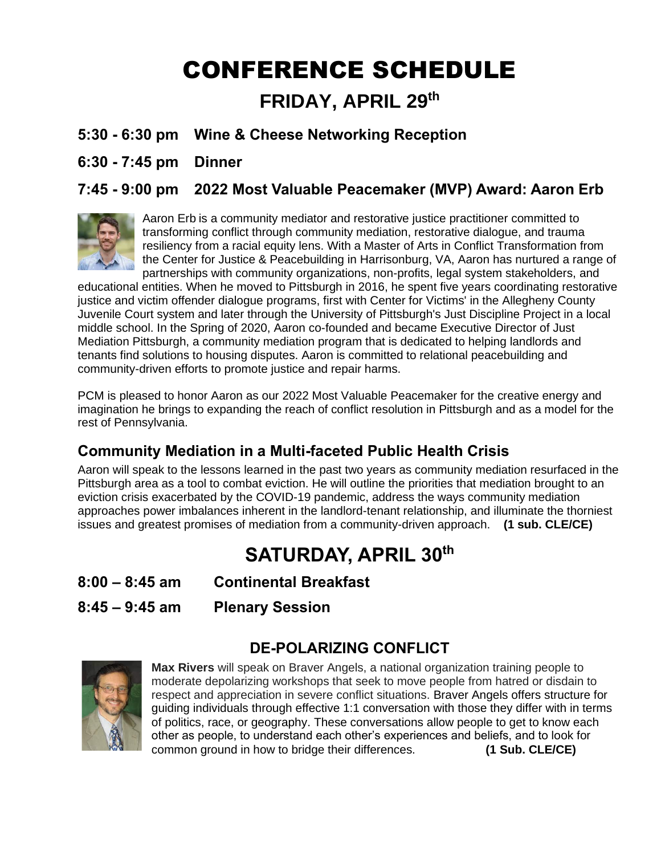# CONFERENCE SCHEDULE **FRIDAY, APRIL 29 th**

- **5:30 - 6:30 pm Wine & Cheese Networking Reception**
- **6:30 - 7:45 pm Dinner**

#### **7:45 - 9:00 pm 2022 Most Valuable Peacemaker (MVP) Award: Aaron Erb**



Aaron Erb is a community mediator and restorative justice practitioner committed to transforming conflict through community mediation, restorative dialogue, and trauma resiliency from a racial equity lens. With a Master of Arts in Conflict Transformation from the Center for Justice & Peacebuilding in Harrisonburg, VA, Aaron has nurtured a range of partnerships with community organizations, non-profits, legal system stakeholders, and

educational entities. When he moved to Pittsburgh in 2016, he spent five years coordinating restorative justice and victim offender dialogue programs, first with Center for Victims' in the Allegheny County Juvenile Court system and later through the University of Pittsburgh's Just Discipline Project in a local middle school. In the Spring of 2020, Aaron co-founded and became Executive Director of Just Mediation Pittsburgh, a community mediation program that is dedicated to helping landlords and tenants find solutions to housing disputes. Aaron is committed to relational peacebuilding and community-driven efforts to promote justice and repair harms.

PCM is pleased to honor Aaron as our 2022 Most Valuable Peacemaker for the creative energy and imagination he brings to expanding the reach of conflict resolution in Pittsburgh and as a model for the rest of Pennsylvania.

#### **Community Mediation in a Multi-faceted Public Health Crisis**

Aaron will speak to the lessons learned in the past two years as community mediation resurfaced in the Pittsburgh area as a tool to combat eviction. He will outline the priorities that mediation brought to an eviction crisis exacerbated by the COVID-19 pandemic, address the ways community mediation approaches power imbalances inherent in the landlord-tenant relationship, and illuminate the thorniest issues and greatest promises of mediation from a community-driven approach. **(1 sub. CLE/CE)**

# **SATURDAY, APRIL 30th**

**8:00 – 8:45 am Continental Breakfast**

**8:45 – 9:45 am Plenary Session** 

#### **DE-POLARIZING CONFLICT**



**Max Rivers** will speak on Braver Angels, a national organization training people to moderate depolarizing workshops that seek to move people from hatred or disdain to respect and appreciation in severe conflict situations. Braver Angels offers structure for guiding individuals through effective 1:1 conversation with those they differ with in terms of politics, race, or geography. These conversations allow people to get to know each other as people, to understand each other's experiences and beliefs, and to look for common ground in how to bridge their differences. **(1 Sub. CLE/CE)**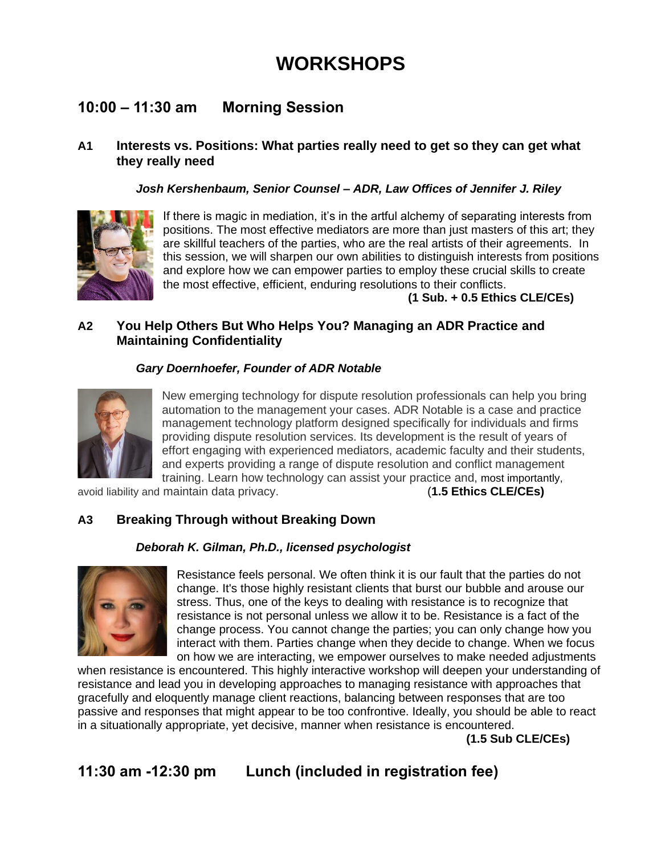# **WORKSHOPS**

#### **10:00 – 11:30 am Morning Session**

#### **A1 Interests vs. Positions: What parties really need to get so they can get what they really need**

#### *Josh Kershenbaum, Senior Counsel – ADR, Law Offices of Jennifer J. Riley*



If there is magic in mediation, it's in the artful alchemy of separating interests from positions. The most effective mediators are more than just masters of this art; they are skillful teachers of the parties, who are the real artists of their agreements. In this session, we will sharpen our own abilities to distinguish interests from positions and explore how we can empower parties to employ these crucial skills to create the most effective, efficient, enduring resolutions to their conflicts.

**(1 Sub. + 0.5 Ethics CLE/CEs)**

#### **A2 You Help Others But Who Helps You? Managing an ADR Practice and Maintaining Confidentiality**

#### *Gary Doernhoefer, Founder of ADR Notable*



New emerging technology for dispute resolution professionals can help you bring automation to the management your cases. ADR Notable is a case and practice management technology platform designed specifically for individuals and firms providing dispute resolution services. Its development is the result of years of effort engaging with experienced mediators, academic faculty and their students, and experts providing a range of dispute resolution and conflict management training. Learn how technology can assist your practice and, most importantly,

avoid liability and maintain data privacy. (**1.5 Ethics CLE/CEs)**

#### **A3 Breaking Through without Breaking Down**

#### *Deborah K. Gilman, Ph.D., licensed psychologist*



Resistance feels personal. We often think it is our fault that the parties do not change. It's those highly resistant clients that burst our bubble and arouse our stress. Thus, one of the keys to dealing with resistance is to recognize that resistance is not personal unless we allow it to be. Resistance is a fact of the change process. You cannot change the parties; you can only change how you interact with them. Parties change when they decide to change. When we focus on how we are interacting, we empower ourselves to make needed adjustments

when resistance is encountered. This highly interactive workshop will deepen your understanding of resistance and lead you in developing approaches to managing resistance with approaches that gracefully and eloquently manage client reactions, balancing between responses that are too passive and responses that might appear to be too confrontive. Ideally, you should be able to react in a situationally appropriate, yet decisive, manner when resistance is encountered.

**(1.5 Sub CLE/CEs)**

**11:30 am -12:30 pm Lunch (included in registration fee)**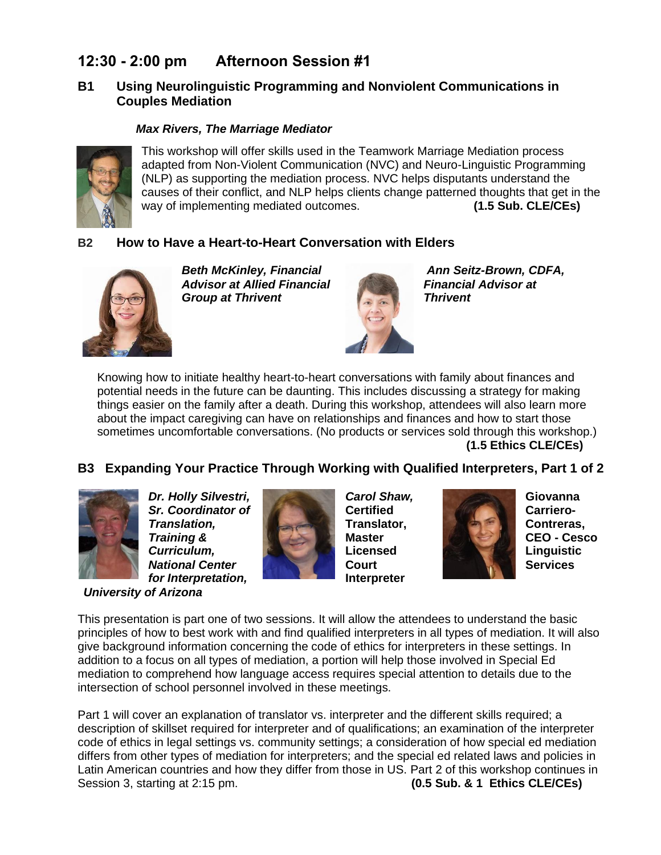#### **12:30 - 2:00 pm Afternoon Session #1**

#### **B1 Using Neurolinguistic Programming and Nonviolent Communications in Couples Mediation**

#### *Max Rivers, The Marriage Mediator*



This workshop will offer skills used in the Teamwork Marriage Mediation process adapted from Non-Violent Communication (NVC) and Neuro-Linguistic Programming (NLP) as supporting the mediation process. NVC helps disputants understand the causes of their conflict, and NLP helps clients change patterned thoughts that get in the way of implementing mediated outcomes. **(1.5 Sub. CLE/CEs)**

#### **B2 How to Have a Heart-to-Heart Conversation with Elders**



*Beth McKinley, Financial Advisor at Allied Financial Group at Thrivent* 



*Ann Seitz-Brown, CDFA, Financial Advisor at Thrivent*

Knowing how to initiate healthy heart-to-heart conversations with family about finances and potential needs in the future can be daunting. This includes discussing a strategy for making things easier on the family after a death. During this workshop, attendees will also learn more about the impact caregiving can have on relationships and finances and how to start those sometimes uncomfortable conversations. (No products or services sold through this workshop.) **(1.5 Ethics CLE/CEs)**

#### **B3 Expanding Your Practice Through Working with Qualified Interpreters, Part 1 of 2**



*Dr. Holly Silvestri, Sr. Coordinator of Translation, Training & Curriculum, National Center for Interpretation,* 

*University of Arizona*



*Carol Shaw,*  **Certified Translator, Master Licensed Court Interpreter** 



**Giovanna Carriero-Contreras, CEO - Cesco Linguistic Services**

This presentation is part one of two sessions. It will allow the attendees to understand the basic principles of how to best work with and find qualified interpreters in all types of mediation. It will also give background information concerning the code of ethics for interpreters in these settings. In addition to a focus on all types of mediation, a portion will help those involved in Special Ed mediation to comprehend how language access requires special attention to details due to the intersection of school personnel involved in these meetings.

Part 1 will cover an explanation of translator vs. interpreter and the different skills required; a description of skillset required for interpreter and of qualifications; an examination of the interpreter code of ethics in legal settings vs. community settings; a consideration of how special ed mediation differs from other types of mediation for interpreters; and the special ed related laws and policies in Latin American countries and how they differ from those in US. Part 2 of this workshop continues in Session 3, starting at 2:15 pm. **(0.5 Sub. & 1 Ethics CLE/CEs)**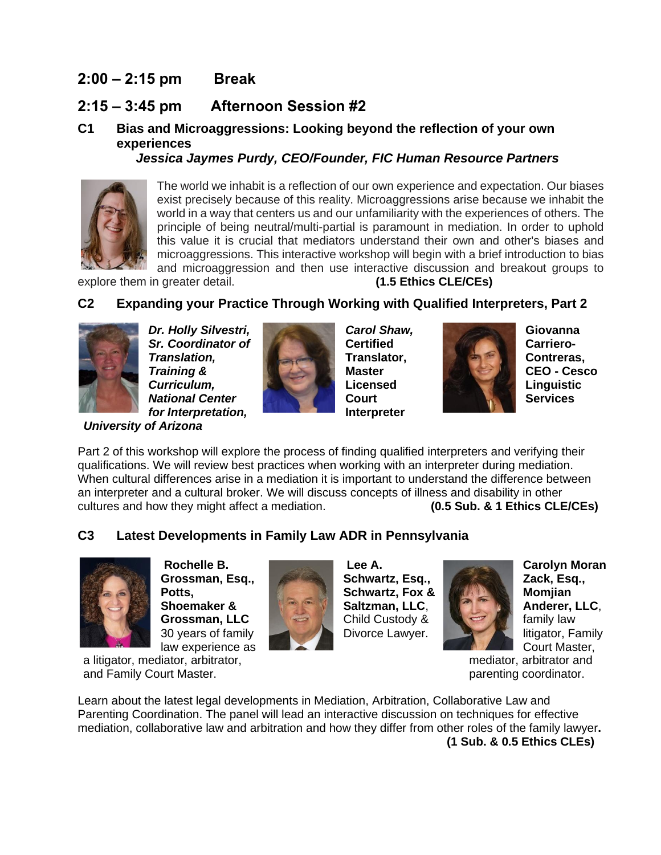#### **2:00 – 2:15 pm Break**

#### **2:15 – 3:45 pm Afternoon Session #2**

#### **C1 Bias and Microaggressions: Looking beyond the reflection of your own experiences**

*Jessica Jaymes Purdy, CEO/Founder, FIC Human Resource Partners*



The world we inhabit is a reflection of our own experience and expectation. Our biases exist precisely because of this reality. Microaggressions arise because we inhabit the world in a way that centers us and our unfamiliarity with the experiences of others. The principle of being neutral/multi-partial is paramount in mediation. In order to uphold this value it is crucial that mediators understand their own and other's biases and microaggressions. This interactive workshop will begin with a brief introduction to bias and microaggression and then use interactive discussion and breakout groups to

explore them in greater detail. **(1.5 Ethics CLE/CEs)**

#### **C2 Expanding your Practice Through Working with Qualified Interpreters, Part 2**



*Dr. Holly Silvestri, Sr. Coordinator of Translation, Training & Curriculum, National Center for Interpretation,* 



*Carol Shaw,*  **Certified Translator, Master Licensed Court Interpreter** 



**Giovanna Carriero-Contreras, CEO - Cesco Linguistic Services**

*University of Arizona*

Part 2 of this workshop will explore the process of finding qualified interpreters and verifying their qualifications. We will review best practices when working with an interpreter during mediation. When cultural differences arise in a mediation it is important to understand the difference between an interpreter and a cultural broker. We will discuss concepts of illness and disability in other cultures and how they might affect a mediation. **(0.5 Sub. & 1 Ethics CLE/CEs)**

#### **C3 Latest Developments in Family Law ADR in Pennsylvania**



**Rochelle B. Grossman, Esq., Potts, Shoemaker & Grossman, LLC**  30 years of family law experience as



**Lee A. Schwartz, Esq., Schwartz, Fox & Saltzman, LLC**, Child Custody & Divorce Lawyer.



**Carolyn Moran Zack, Esq., Momjian Anderer, LLC**, family law litigator, Family Court Master,

mediator, arbitrator and parenting coordinator.

a litigator, mediator, arbitrator, and Family Court Master.

Learn about the latest legal developments in Mediation, Arbitration, Collaborative Law and Parenting Coordination. The panel will lead an interactive discussion on techniques for effective mediation, collaborative law and arbitration and how they differ from other roles of the family lawyer**. (1 Sub. & 0.5 Ethics CLEs)**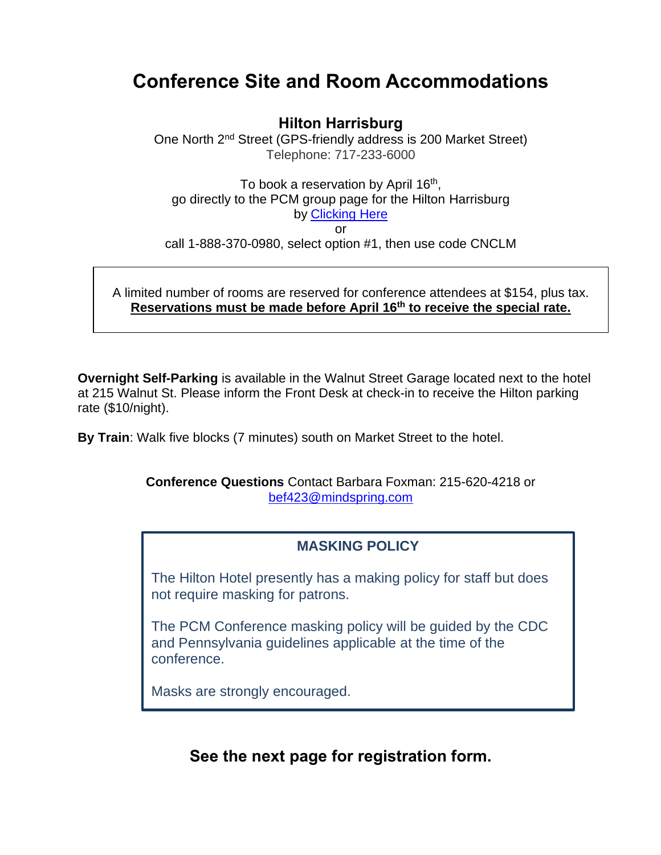### **Conference Site and Room Accommodations**

#### **Hilton Harrisburg**

One North 2nd Street (GPS-friendly address is 200 Market Street) Telephone: 717-233-6000

To book a reservation by April 16<sup>th</sup>, go directly to the PCM group page for the Hilton Harrisburg by [Clicking](https://www.hilton.com/en/book/reservation/deeplink/?ctyhocn=MDTHHHF&groupCode=CNCLM&arrivaldate=2022-04-28&departuredate=2022-04-30&cid=OM,WW,HILTONLINK,EN,DirectLink&fromId=HILTONLINKDIRECT) Here or call 1-888-370-0980, select option #1, then use code CNCLM

A limited number of rooms are reserved for conference attendees at \$154, plus tax. **Reservations must be made before April 16th to receive the special rate.**

**Overnight Self-Parking** is available in the Walnut Street Garage located next to the hotel at 215 Walnut St. Please inform the Front Desk at check-in to receive the Hilton parking rate (\$10/night).

**By Train**: Walk five blocks (7 minutes) south on Market Street to the hotel.

**Conference Questions** Contact Barbara Foxman: 215-620-4218 or [bef423@mindspring.com](mailto:bef423@mindspring.com)

#### **MASKING POLICY**

The Hilton Hotel presently has a making policy for staff but does not require masking for patrons.

The PCM Conference masking policy will be guided by the CDC and Pennsylvania guidelines applicable at the time of the conference.

Masks are strongly encouraged.

#### **See the next page for registration form.**